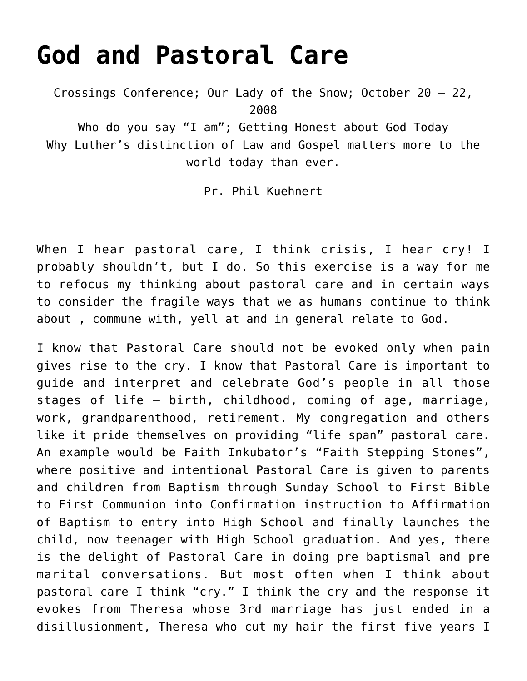## **[God and Pastoral Care](https://crossings.org/god-and-pastoral-care/)**

Crossings Conference; Our Lady of the Snow; October 20 – 22, 2008

Who do you say "I am"; Getting Honest about God Today Why Luther's distinction of Law and Gospel matters more to the world today than ever.

Pr. Phil Kuehnert

When I hear pastoral care, I think crisis, I hear cry! I probably shouldn't, but I do. So this exercise is a way for me to refocus my thinking about pastoral care and in certain ways to consider the fragile ways that we as humans continue to think about , commune with, yell at and in general relate to God.

I know that Pastoral Care should not be evoked only when pain gives rise to the cry. I know that Pastoral Care is important to guide and interpret and celebrate God's people in all those stages of life – birth, childhood, coming of age, marriage, work, grandparenthood, retirement. My congregation and others like it pride themselves on providing "life span" pastoral care. An example would be Faith Inkubator's "Faith Stepping Stones", where positive and intentional Pastoral Care is given to parents and children from Baptism through Sunday School to First Bible to First Communion into Confirmation instruction to Affirmation of Baptism to entry into High School and finally launches the child, now teenager with High School graduation. And yes, there is the delight of Pastoral Care in doing pre baptismal and pre marital conversations. But most often when I think about pastoral care I think "cry." I think the cry and the response it evokes from Theresa whose 3rd marriage has just ended in a disillusionment, Theresa who cut my hair the first five years I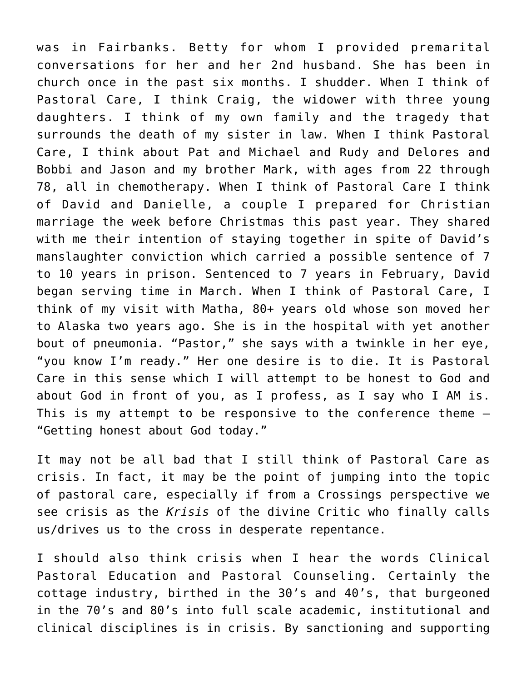was in Fairbanks. Betty for whom I provided premarital conversations for her and her 2nd husband. She has been in church once in the past six months. I shudder. When I think of Pastoral Care, I think Craig, the widower with three young daughters. I think of my own family and the tragedy that surrounds the death of my sister in law. When I think Pastoral Care, I think about Pat and Michael and Rudy and Delores and Bobbi and Jason and my brother Mark, with ages from 22 through 78, all in chemotherapy. When I think of Pastoral Care I think of David and Danielle, a couple I prepared for Christian marriage the week before Christmas this past year. They shared with me their intention of staying together in spite of David's manslaughter conviction which carried a possible sentence of 7 to 10 years in prison. Sentenced to 7 years in February, David began serving time in March. When I think of Pastoral Care, I think of my visit with Matha, 80+ years old whose son moved her to Alaska two years ago. She is in the hospital with yet another bout of pneumonia. "Pastor," she says with a twinkle in her eye, "you know I'm ready." Her one desire is to die. It is Pastoral Care in this sense which I will attempt to be honest to God and about God in front of you, as I profess, as I say who I AM is. This is my attempt to be responsive to the conference theme  $-$ "Getting honest about God today."

It may not be all bad that I still think of Pastoral Care as crisis. In fact, it may be the point of jumping into the topic of pastoral care, especially if from a Crossings perspective we see crisis as the *Krisis* of the divine Critic who finally calls us/drives us to the cross in desperate repentance.

I should also think crisis when I hear the words Clinical Pastoral Education and Pastoral Counseling. Certainly the cottage industry, birthed in the 30's and 40's, that burgeoned in the 70's and 80's into full scale academic, institutional and clinical disciplines is in crisis. By sanctioning and supporting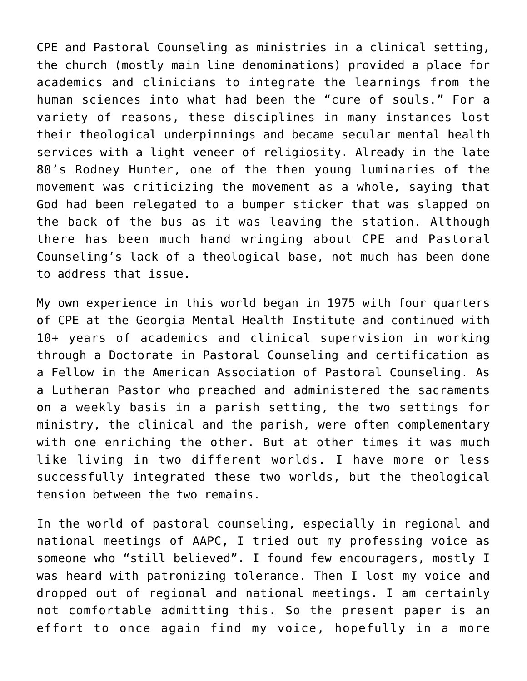CPE and Pastoral Counseling as ministries in a clinical setting, the church (mostly main line denominations) provided a place for academics and clinicians to integrate the learnings from the human sciences into what had been the "cure of souls." For a variety of reasons, these disciplines in many instances lost their theological underpinnings and became secular mental health services with a light veneer of religiosity. Already in the late 80's Rodney Hunter, one of the then young luminaries of the movement was criticizing the movement as a whole, saying that God had been relegated to a bumper sticker that was slapped on the back of the bus as it was leaving the station. Although there has been much hand wringing about CPE and Pastoral Counseling's lack of a theological base, not much has been done to address that issue.

My own experience in this world began in 1975 with four quarters of CPE at the Georgia Mental Health Institute and continued with 10+ years of academics and clinical supervision in working through a Doctorate in Pastoral Counseling and certification as a Fellow in the American Association of Pastoral Counseling. As a Lutheran Pastor who preached and administered the sacraments on a weekly basis in a parish setting, the two settings for ministry, the clinical and the parish, were often complementary with one enriching the other. But at other times it was much like living in two different worlds. I have more or less successfully integrated these two worlds, but the theological tension between the two remains.

In the world of pastoral counseling, especially in regional and national meetings of AAPC, I tried out my professing voice as someone who "still believed". I found few encouragers, mostly I was heard with patronizing tolerance. Then I lost my voice and dropped out of regional and national meetings. I am certainly not comfortable admitting this. So the present paper is an effort to once again find my voice, hopefully in a more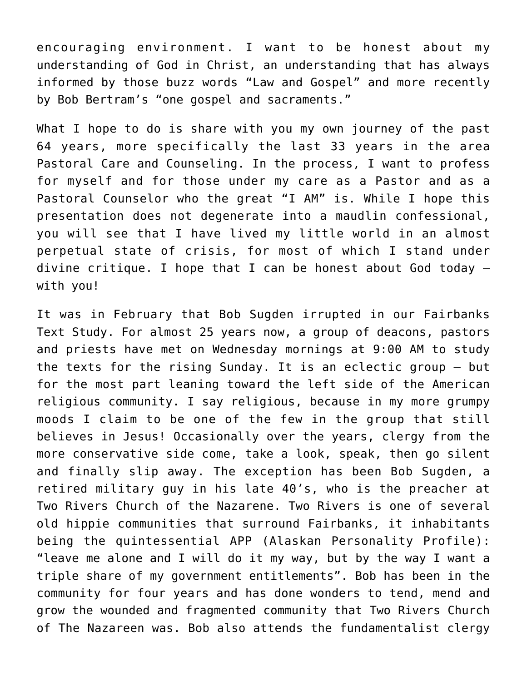encouraging environment. I want to be honest about my understanding of God in Christ, an understanding that has always informed by those buzz words "Law and Gospel" and more recently by Bob Bertram's "one gospel and sacraments."

What I hope to do is share with you my own journey of the past 64 years, more specifically the last 33 years in the area Pastoral Care and Counseling. In the process, I want to profess for myself and for those under my care as a Pastor and as a Pastoral Counselor who the great "I AM" is. While I hope this presentation does not degenerate into a maudlin confessional, you will see that I have lived my little world in an almost perpetual state of crisis, for most of which I stand under divine critique. I hope that I can be honest about God today – with you!

It was in February that Bob Sugden irrupted in our Fairbanks Text Study. For almost 25 years now, a group of deacons, pastors and priests have met on Wednesday mornings at 9:00 AM to study the texts for the rising Sunday. It is an eclectic group – but for the most part leaning toward the left side of the American religious community. I say religious, because in my more grumpy moods I claim to be one of the few in the group that still believes in Jesus! Occasionally over the years, clergy from the more conservative side come, take a look, speak, then go silent and finally slip away. The exception has been Bob Sugden, a retired military guy in his late 40's, who is the preacher at Two Rivers Church of the Nazarene. Two Rivers is one of several old hippie communities that surround Fairbanks, it inhabitants being the quintessential APP (Alaskan Personality Profile): "leave me alone and I will do it my way, but by the way I want a triple share of my government entitlements". Bob has been in the community for four years and has done wonders to tend, mend and grow the wounded and fragmented community that Two Rivers Church of The Nazareen was. Bob also attends the fundamentalist clergy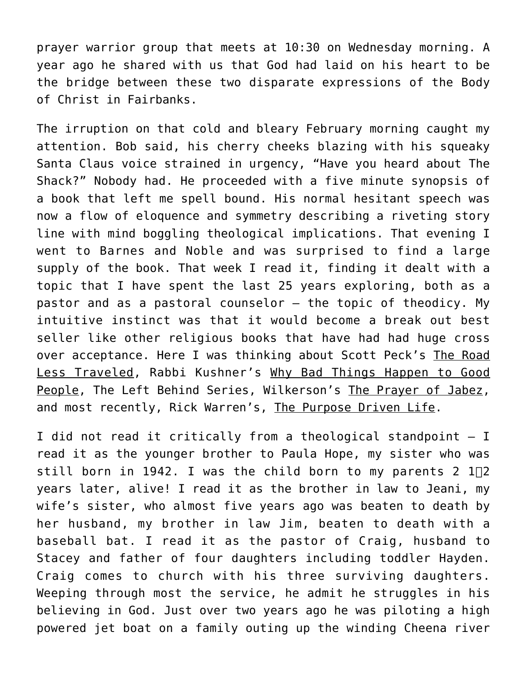prayer warrior group that meets at 10:30 on Wednesday morning. A year ago he shared with us that God had laid on his heart to be the bridge between these two disparate expressions of the Body of Christ in Fairbanks.

The irruption on that cold and bleary February morning caught my attention. Bob said, his cherry cheeks blazing with his squeaky Santa Claus voice strained in urgency, "Have you heard about The Shack?" Nobody had. He proceeded with a five minute synopsis of a book that left me spell bound. His normal hesitant speech was now a flow of eloquence and symmetry describing a riveting story line with mind boggling theological implications. That evening I went to Barnes and Noble and was surprised to find a large supply of the book. That week I read it, finding it dealt with a topic that I have spent the last 25 years exploring, both as a pastor and as a pastoral counselor – the topic of theodicy. My intuitive instinct was that it would become a break out best seller like other religious books that have had had huge cross over acceptance. Here I was thinking about Scott Peck's The Road Less Traveled, Rabbi Kushner's Why Bad Things Happen to Good People, The Left Behind Series, Wilkerson's The Prayer of Jabez, and most recently, Rick Warren's, The Purpose Driven Life.

I did not read it critically from a theological standpoint – I read it as the younger brother to Paula Hope, my sister who was still born in 1942. I was the child born to my parents 2  $1\overline{2}$ years later, alive! I read it as the brother in law to Jeani, my wife's sister, who almost five years ago was beaten to death by her husband, my brother in law Jim, beaten to death with a baseball bat. I read it as the pastor of Craig, husband to Stacey and father of four daughters including toddler Hayden. Craig comes to church with his three surviving daughters. Weeping through most the service, he admit he struggles in his believing in God. Just over two years ago he was piloting a high powered jet boat on a family outing up the winding Cheena river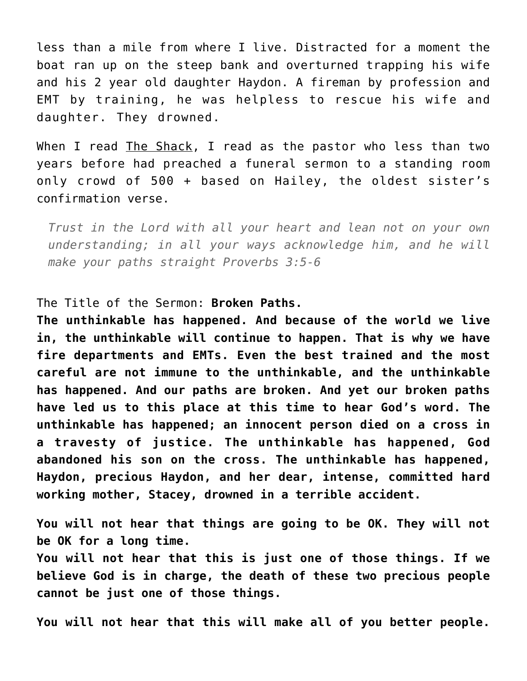less than a mile from where I live. Distracted for a moment the boat ran up on the steep bank and overturned trapping his wife and his 2 year old daughter Haydon. A fireman by profession and EMT by training, he was helpless to rescue his wife and daughter. They drowned.

When I read The Shack, I read as the pastor who less than two years before had preached a funeral sermon to a standing room only crowd of 500 + based on Hailey, the oldest sister's confirmation verse.

*Trust in the Lord with all your heart and lean not on your own understanding; in all your ways acknowledge him, and he will make your paths straight Proverbs 3:5-6*

The Title of the Sermon: **Broken Paths.**

**The unthinkable has happened. And because of the world we live in, the unthinkable will continue to happen. That is why we have fire departments and EMTs. Even the best trained and the most careful are not immune to the unthinkable, and the unthinkable has happened. And our paths are broken. And yet our broken paths have led us to this place at this time to hear God's word. The unthinkable has happened; an innocent person died on a cross in a travesty of justice. The unthinkable has happened, God abandoned his son on the cross. The unthinkable has happened, Haydon, precious Haydon, and her dear, intense, committed hard working mother, Stacey, drowned in a terrible accident.**

**You will not hear that things are going to be OK. They will not be OK for a long time.**

**You will not hear that this is just one of those things. If we believe God is in charge, the death of these two precious people cannot be just one of those things.**

**You will not hear that this will make all of you better people.**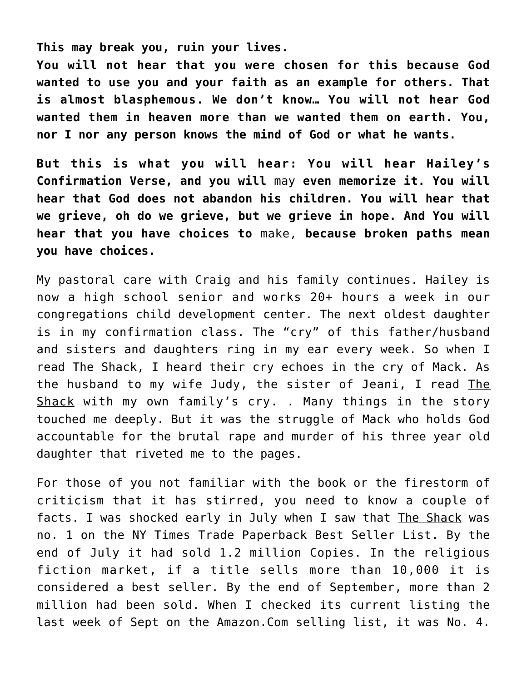**This may break you, ruin your lives.**

**You will not hear that you were chosen for this because God wanted to use you and your faith as an example for others. That is almost blasphemous. We don't know… You will not hear God wanted them in heaven more than we wanted them on earth. You, nor I nor any person knows the mind of God or what he wants.**

**But this is what you will hear: You will hear Hailey's Confirmation Verse, and you will** may **even memorize it. You will hear that God does not abandon his children. You will hear that we grieve, oh do we grieve, but we grieve in hope. And You will hear that you have choices to** make, **because broken paths mean you have choices.**

My pastoral care with Craig and his family continues. Hailey is now a high school senior and works 20+ hours a week in our congregations child development center. The next oldest daughter is in my confirmation class. The "cry" of this father/husband and sisters and daughters ring in my ear every week. So when I read The Shack, I heard their cry echoes in the cry of Mack. As the husband to my wife Judy, the sister of Jeani, I read The Shack with my own family's cry. . Many things in the story touched me deeply. But it was the struggle of Mack who holds God accountable for the brutal rape and murder of his three year old daughter that riveted me to the pages.

For those of you not familiar with the book or the firestorm of criticism that it has stirred, you need to know a couple of facts. I was shocked early in July when I saw that The Shack was no. 1 on the NY Times Trade Paperback Best Seller List. By the end of July it had sold 1.2 million Copies. In the religious fiction market, if a title sells more than 10,000 it is considered a best seller. By the end of September, more than 2 million had been sold. When I checked its current listing the last week of Sept on the Amazon.Com selling list, it was No. 4.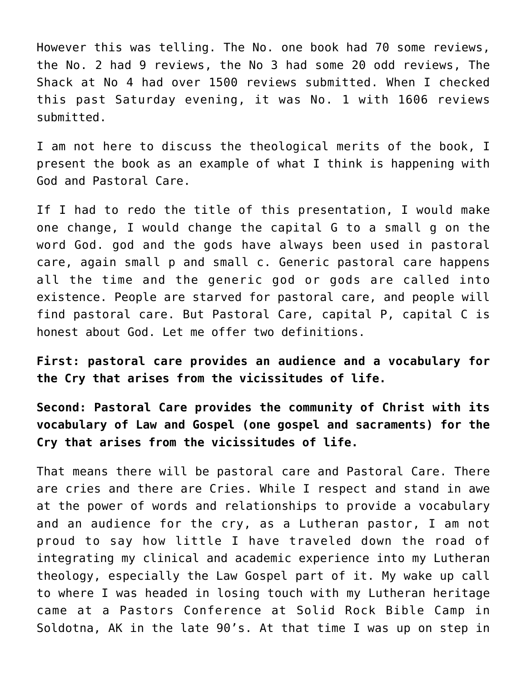However this was telling. The No. one book had 70 some reviews, the No. 2 had 9 reviews, the No 3 had some 20 odd reviews, The Shack at No 4 had over 1500 reviews submitted. When I checked this past Saturday evening, it was No. 1 with 1606 reviews submitted.

I am not here to discuss the theological merits of the book, I present the book as an example of what I think is happening with God and Pastoral Care.

If I had to redo the title of this presentation, I would make one change, I would change the capital G to a small g on the word God. god and the gods have always been used in pastoral care, again small p and small c. Generic pastoral care happens all the time and the generic god or gods are called into existence. People are starved for pastoral care, and people will find pastoral care. But Pastoral Care, capital P, capital C is honest about God. Let me offer two definitions.

**First: pastoral care provides an audience and a vocabulary for the Cry that arises from the vicissitudes of life.**

**Second: Pastoral Care provides the community of Christ with its vocabulary of Law and Gospel (one gospel and sacraments) for the Cry that arises from the vicissitudes of life.**

That means there will be pastoral care and Pastoral Care. There are cries and there are Cries. While I respect and stand in awe at the power of words and relationships to provide a vocabulary and an audience for the cry, as a Lutheran pastor, I am not proud to say how little I have traveled down the road of integrating my clinical and academic experience into my Lutheran theology, especially the Law Gospel part of it. My wake up call to where I was headed in losing touch with my Lutheran heritage came at a Pastors Conference at Solid Rock Bible Camp in Soldotna, AK in the late 90's. At that time I was up on step in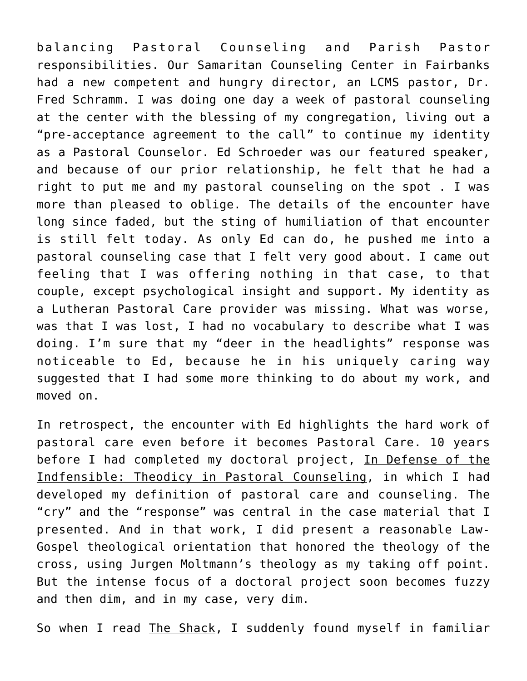balancing Pastoral Counseling and Parish Pastor responsibilities. Our Samaritan Counseling Center in Fairbanks had a new competent and hungry director, an LCMS pastor, Dr. Fred Schramm. I was doing one day a week of pastoral counseling at the center with the blessing of my congregation, living out a "pre-acceptance agreement to the call" to continue my identity as a Pastoral Counselor. Ed Schroeder was our featured speaker, and because of our prior relationship, he felt that he had a right to put me and my pastoral counseling on the spot . I was more than pleased to oblige. The details of the encounter have long since faded, but the sting of humiliation of that encounter is still felt today. As only Ed can do, he pushed me into a pastoral counseling case that I felt very good about. I came out feeling that I was offering nothing in that case, to that couple, except psychological insight and support. My identity as a Lutheran Pastoral Care provider was missing. What was worse, was that I was lost, I had no vocabulary to describe what I was doing. I'm sure that my "deer in the headlights" response was noticeable to Ed, because he in his uniquely caring way suggested that I had some more thinking to do about my work, and moved on.

In retrospect, the encounter with Ed highlights the hard work of pastoral care even before it becomes Pastoral Care. 10 years before I had completed my doctoral project, In Defense of the Indfensible: Theodicy in Pastoral Counseling, in which I had developed my definition of pastoral care and counseling. The "cry" and the "response" was central in the case material that I presented. And in that work, I did present a reasonable Law-Gospel theological orientation that honored the theology of the cross, using Jurgen Moltmann's theology as my taking off point. But the intense focus of a doctoral project soon becomes fuzzy and then dim, and in my case, very dim.

So when I read The Shack, I suddenly found myself in familiar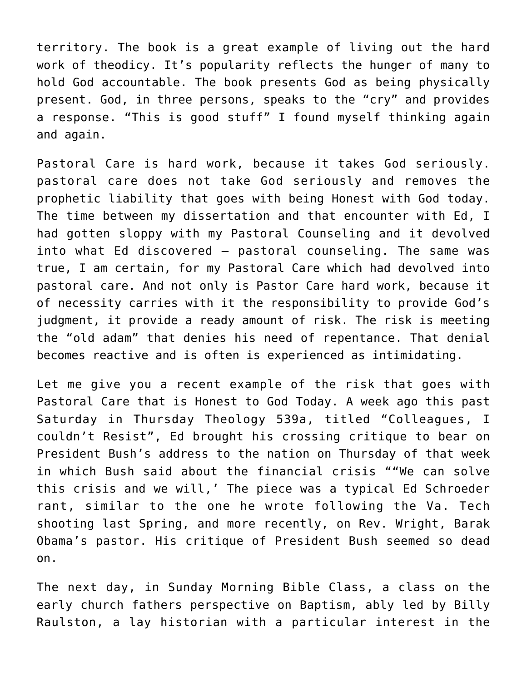territory. The book is a great example of living out the hard work of theodicy. It's popularity reflects the hunger of many to hold God accountable. The book presents God as being physically present. God, in three persons, speaks to the "cry" and provides a response. "This is good stuff" I found myself thinking again and again.

Pastoral Care is hard work, because it takes God seriously. pastoral care does not take God seriously and removes the prophetic liability that goes with being Honest with God today. The time between my dissertation and that encounter with Ed, I had gotten sloppy with my Pastoral Counseling and it devolved into what Ed discovered – pastoral counseling. The same was true, I am certain, for my Pastoral Care which had devolved into pastoral care. And not only is Pastor Care hard work, because it of necessity carries with it the responsibility to provide God's judgment, it provide a ready amount of risk. The risk is meeting the "old adam" that denies his need of repentance. That denial becomes reactive and is often is experienced as intimidating.

Let me give you a recent example of the risk that goes with Pastoral Care that is Honest to God Today. A week ago this past Saturday in Thursday Theology 539a, titled "Colleagues, I couldn't Resist", Ed brought his crossing critique to bear on President Bush's address to the nation on Thursday of that week in which Bush said about the financial crisis ""We can solve this crisis and we will,' The piece was a typical Ed Schroeder rant, similar to the one he wrote following the Va. Tech shooting last Spring, and more recently, on Rev. Wright, Barak Obama's pastor. His critique of President Bush seemed so dead on.

The next day, in Sunday Morning Bible Class, a class on the early church fathers perspective on Baptism, ably led by Billy Raulston, a lay historian with a particular interest in the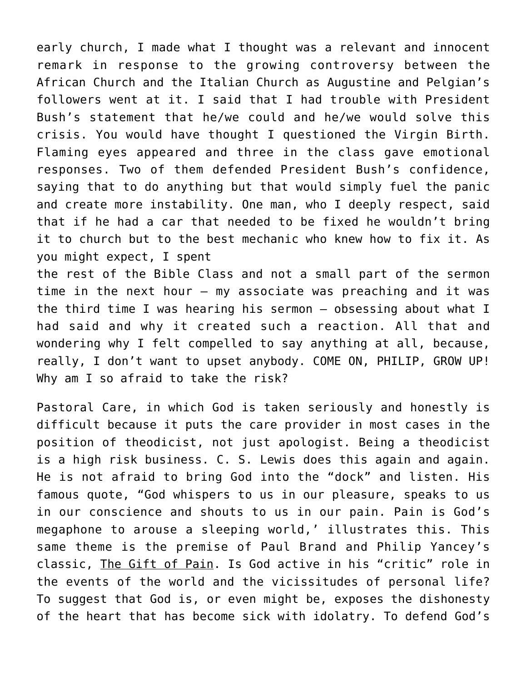early church, I made what I thought was a relevant and innocent remark in response to the growing controversy between the African Church and the Italian Church as Augustine and Pelgian's followers went at it. I said that I had trouble with President Bush's statement that he/we could and he/we would solve this crisis. You would have thought I questioned the Virgin Birth. Flaming eyes appeared and three in the class gave emotional responses. Two of them defended President Bush's confidence, saying that to do anything but that would simply fuel the panic and create more instability. One man, who I deeply respect, said that if he had a car that needed to be fixed he wouldn't bring it to church but to the best mechanic who knew how to fix it. As you might expect, I spent

the rest of the Bible Class and not a small part of the sermon time in the next hour – my associate was preaching and it was the third time I was hearing his sermon – obsessing about what I had said and why it created such a reaction. All that and wondering why I felt compelled to say anything at all, because, really, I don't want to upset anybody. COME ON, PHILIP, GROW UP! Why am I so afraid to take the risk?

Pastoral Care, in which God is taken seriously and honestly is difficult because it puts the care provider in most cases in the position of theodicist, not just apologist. Being a theodicist is a high risk business. C. S. Lewis does this again and again. He is not afraid to bring God into the "dock" and listen. His famous quote, "God whispers to us in our pleasure, speaks to us in our conscience and shouts to us in our pain. Pain is God's megaphone to arouse a sleeping world,' illustrates this. This same theme is the premise of Paul Brand and Philip Yancey's classic, The Gift of Pain. Is God active in his "critic" role in the events of the world and the vicissitudes of personal life? To suggest that God is, or even might be, exposes the dishonesty of the heart that has become sick with idolatry. To defend God's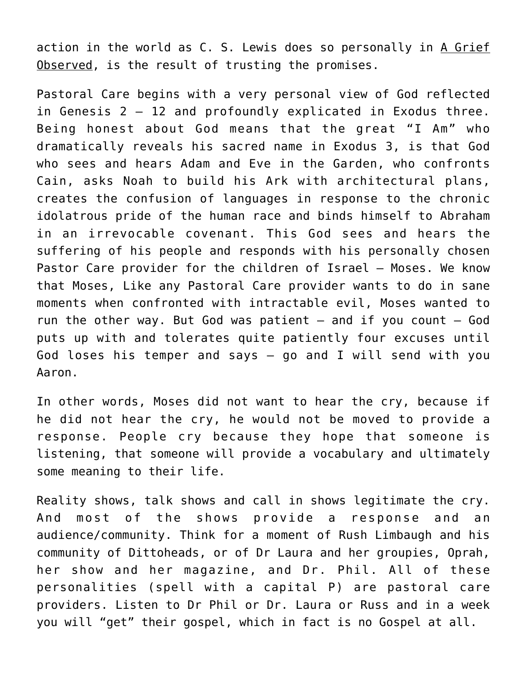action in the world as C. S. Lewis does so personally in A Grief Observed, is the result of trusting the promises.

Pastoral Care begins with a very personal view of God reflected in Genesis 2 – 12 and profoundly explicated in Exodus three. Being honest about God means that the great "I Am" who dramatically reveals his sacred name in Exodus 3, is that God who sees and hears Adam and Eve in the Garden, who confronts Cain, asks Noah to build his Ark with architectural plans, creates the confusion of languages in response to the chronic idolatrous pride of the human race and binds himself to Abraham in an irrevocable covenant. This God sees and hears the suffering of his people and responds with his personally chosen Pastor Care provider for the children of Israel – Moses. We know that Moses, Like any Pastoral Care provider wants to do in sane moments when confronted with intractable evil, Moses wanted to run the other way. But God was patient  $-$  and if you count  $-$  God puts up with and tolerates quite patiently four excuses until God loses his temper and says – go and I will send with you Aaron.

In other words, Moses did not want to hear the cry, because if he did not hear the cry, he would not be moved to provide a response. People cry because they hope that someone is listening, that someone will provide a vocabulary and ultimately some meaning to their life.

Reality shows, talk shows and call in shows legitimate the cry. And most of the shows provide a response and an audience/community. Think for a moment of Rush Limbaugh and his community of Dittoheads, or of Dr Laura and her groupies, Oprah, her show and her magazine, and Dr. Phil. All of these personalities (spell with a capital P) are pastoral care providers. Listen to Dr Phil or Dr. Laura or Russ and in a week you will "get" their gospel, which in fact is no Gospel at all.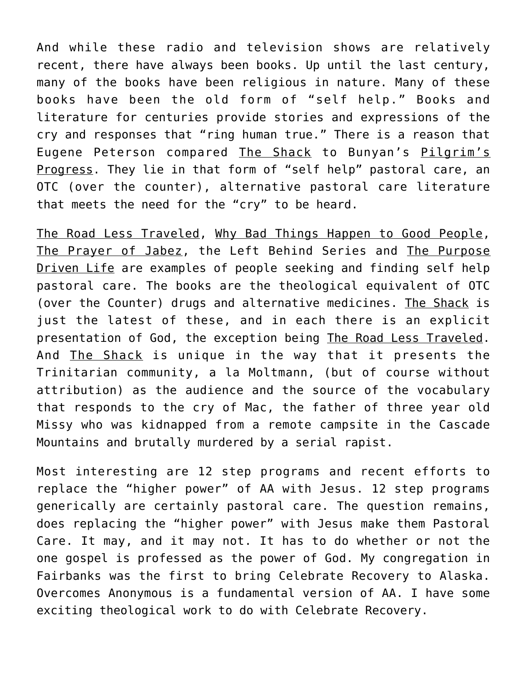And while these radio and television shows are relatively recent, there have always been books. Up until the last century, many of the books have been religious in nature. Many of these books have been the old form of "self help." Books and literature for centuries provide stories and expressions of the cry and responses that "ring human true." There is a reason that Eugene Peterson compared The Shack to Bunyan's Pilgrim's Progress. They lie in that form of "self help" pastoral care, an OTC (over the counter), alternative pastoral care literature that meets the need for the "cry" to be heard.

The Road Less Traveled, Why Bad Things Happen to Good People, The Prayer of Jabez, the Left Behind Series and The Purpose Driven Life are examples of people seeking and finding self help pastoral care. The books are the theological equivalent of OTC (over the Counter) drugs and alternative medicines. The Shack is just the latest of these, and in each there is an explicit presentation of God, the exception being The Road Less Traveled. And The Shack is unique in the way that it presents the Trinitarian community, a la Moltmann, (but of course without attribution) as the audience and the source of the vocabulary that responds to the cry of Mac, the father of three year old Missy who was kidnapped from a remote campsite in the Cascade Mountains and brutally murdered by a serial rapist.

Most interesting are 12 step programs and recent efforts to replace the "higher power" of AA with Jesus. 12 step programs generically are certainly pastoral care. The question remains, does replacing the "higher power" with Jesus make them Pastoral Care. It may, and it may not. It has to do whether or not the one gospel is professed as the power of God. My congregation in Fairbanks was the first to bring Celebrate Recovery to Alaska. Overcomes Anonymous is a fundamental version of AA. I have some exciting theological work to do with Celebrate Recovery.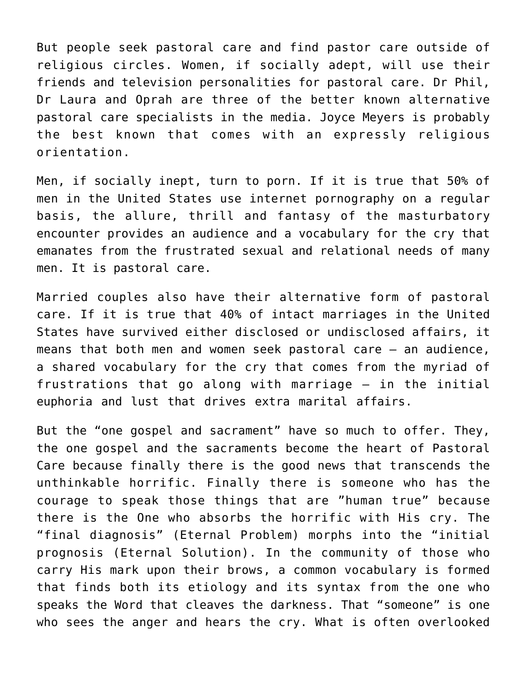But people seek pastoral care and find pastor care outside of religious circles. Women, if socially adept, will use their friends and television personalities for pastoral care. Dr Phil, Dr Laura and Oprah are three of the better known alternative pastoral care specialists in the media. Joyce Meyers is probably the best known that comes with an expressly religious orientation.

Men, if socially inept, turn to porn. If it is true that 50% of men in the United States use internet pornography on a regular basis, the allure, thrill and fantasy of the masturbatory encounter provides an audience and a vocabulary for the cry that emanates from the frustrated sexual and relational needs of many men. It is pastoral care.

Married couples also have their alternative form of pastoral care. If it is true that 40% of intact marriages in the United States have survived either disclosed or undisclosed affairs, it means that both men and women seek pastoral care – an audience, a shared vocabulary for the cry that comes from the myriad of frustrations that go along with marriage – in the initial euphoria and lust that drives extra marital affairs.

But the "one gospel and sacrament" have so much to offer. They, the one gospel and the sacraments become the heart of Pastoral Care because finally there is the good news that transcends the unthinkable horrific. Finally there is someone who has the courage to speak those things that are "human true" because there is the One who absorbs the horrific with His cry. The "final diagnosis" (Eternal Problem) morphs into the "initial prognosis (Eternal Solution). In the community of those who carry His mark upon their brows, a common vocabulary is formed that finds both its etiology and its syntax from the one who speaks the Word that cleaves the darkness. That "someone" is one who sees the anger and hears the cry. What is often overlooked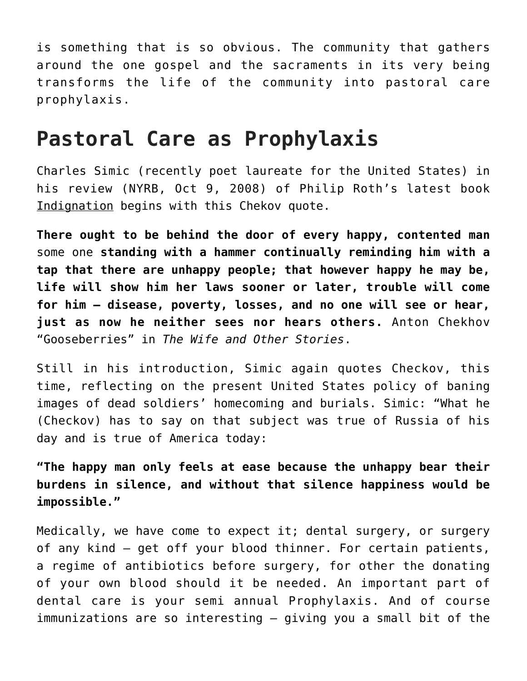is something that is so obvious. The community that gathers around the one gospel and the sacraments in its very being transforms the life of the community into pastoral care prophylaxis.

## **Pastoral Care as Prophylaxis**

Charles Simic (recently poet laureate for the United States) in his review (NYRB, Oct 9, 2008) of Philip Roth's latest book Indignation begins with this Chekov quote.

**There ought to be behind the door of every happy, contented man** some one **standing with a hammer continually reminding him with a tap that there are unhappy people; that however happy he may be, life will show him her laws sooner or later, trouble will come for him – disease, poverty, losses, and no one will see or hear, just as now he neither sees nor hears others.** Anton Chekhov "Gooseberries" in *The Wife and Other Stories*.

Still in his introduction, Simic again quotes Checkov, this time, reflecting on the present United States policy of baning images of dead soldiers' homecoming and burials. Simic: "What he (Checkov) has to say on that subject was true of Russia of his day and is true of America today:

**"The happy man only feels at ease because the unhappy bear their burdens in silence, and without that silence happiness would be impossible."**

Medically, we have come to expect it; dental surgery, or surgery of any kind – get off your blood thinner. For certain patients, a regime of antibiotics before surgery, for other the donating of your own blood should it be needed. An important part of dental care is your semi annual Prophylaxis. And of course immunizations are so interesting – giving you a small bit of the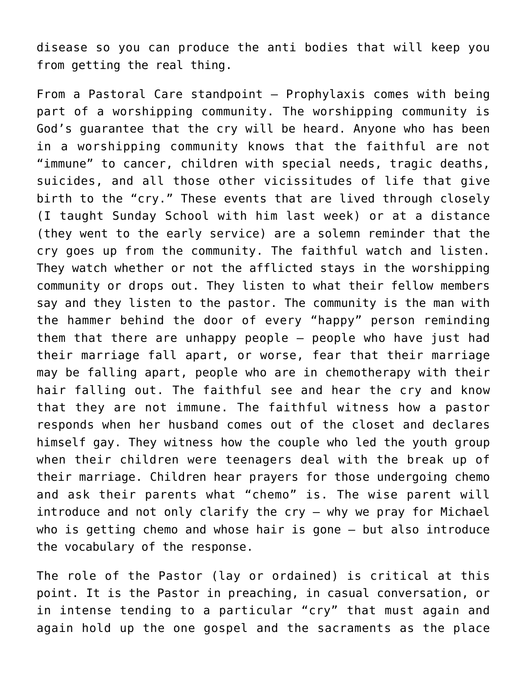disease so you can produce the anti bodies that will keep you from getting the real thing.

From a Pastoral Care standpoint – Prophylaxis comes with being part of a worshipping community. The worshipping community is God's guarantee that the cry will be heard. Anyone who has been in a worshipping community knows that the faithful are not "immune" to cancer, children with special needs, tragic deaths, suicides, and all those other vicissitudes of life that give birth to the "cry." These events that are lived through closely (I taught Sunday School with him last week) or at a distance (they went to the early service) are a solemn reminder that the cry goes up from the community. The faithful watch and listen. They watch whether or not the afflicted stays in the worshipping community or drops out. They listen to what their fellow members say and they listen to the pastor. The community is the man with the hammer behind the door of every "happy" person reminding them that there are unhappy people – people who have just had their marriage fall apart, or worse, fear that their marriage may be falling apart, people who are in chemotherapy with their hair falling out. The faithful see and hear the cry and know that they are not immune. The faithful witness how a pastor responds when her husband comes out of the closet and declares himself gay. They witness how the couple who led the youth group when their children were teenagers deal with the break up of their marriage. Children hear prayers for those undergoing chemo and ask their parents what "chemo" is. The wise parent will introduce and not only clarify the cry – why we pray for Michael who is getting chemo and whose hair is gone – but also introduce the vocabulary of the response.

The role of the Pastor (lay or ordained) is critical at this point. It is the Pastor in preaching, in casual conversation, or in intense tending to a particular "cry" that must again and again hold up the one gospel and the sacraments as the place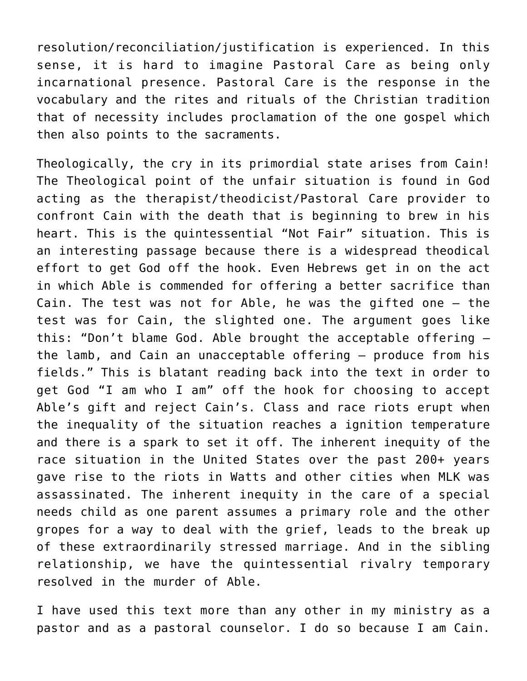resolution/reconciliation/justification is experienced. In this sense, it is hard to imagine Pastoral Care as being only incarnational presence. Pastoral Care is the response in the vocabulary and the rites and rituals of the Christian tradition that of necessity includes proclamation of the one gospel which then also points to the sacraments.

Theologically, the cry in its primordial state arises from Cain! The Theological point of the unfair situation is found in God acting as the therapist/theodicist/Pastoral Care provider to confront Cain with the death that is beginning to brew in his heart. This is the quintessential "Not Fair" situation. This is an interesting passage because there is a widespread theodical effort to get God off the hook. Even Hebrews get in on the act in which Able is commended for offering a better sacrifice than Cain. The test was not for Able, he was the gifted one – the test was for Cain, the slighted one. The argument goes like this: "Don't blame God. Able brought the acceptable offering – the lamb, and Cain an unacceptable offering – produce from his fields." This is blatant reading back into the text in order to get God "I am who I am" off the hook for choosing to accept Able's gift and reject Cain's. Class and race riots erupt when the inequality of the situation reaches a ignition temperature and there is a spark to set it off. The inherent inequity of the race situation in the United States over the past 200+ years gave rise to the riots in Watts and other cities when MLK was assassinated. The inherent inequity in the care of a special needs child as one parent assumes a primary role and the other gropes for a way to deal with the grief, leads to the break up of these extraordinarily stressed marriage. And in the sibling relationship, we have the quintessential rivalry temporary resolved in the murder of Able.

I have used this text more than any other in my ministry as a pastor and as a pastoral counselor. I do so because I am Cain.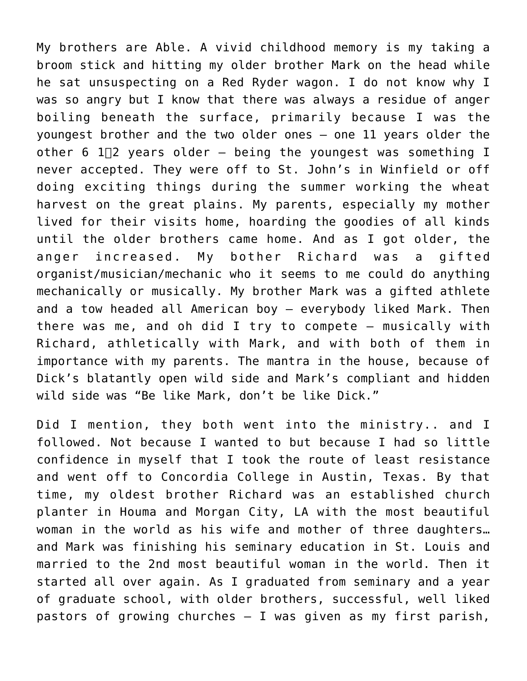My brothers are Able. A vivid childhood memory is my taking a broom stick and hitting my older brother Mark on the head while he sat unsuspecting on a Red Ryder wagon. I do not know why I was so angry but I know that there was always a residue of anger boiling beneath the surface, primarily because I was the youngest brother and the two older ones – one 11 years older the other 6  $1\overline{2}$  years older – being the youngest was something I never accepted. They were off to St. John's in Winfield or off doing exciting things during the summer working the wheat harvest on the great plains. My parents, especially my mother lived for their visits home, hoarding the goodies of all kinds until the older brothers came home. And as I got older, the anger increased. My bother Richard was a gifted organist/musician/mechanic who it seems to me could do anything mechanically or musically. My brother Mark was a gifted athlete and a tow headed all American boy – everybody liked Mark. Then there was me, and oh did I try to compete – musically with Richard, athletically with Mark, and with both of them in importance with my parents. The mantra in the house, because of Dick's blatantly open wild side and Mark's compliant and hidden wild side was "Be like Mark, don't be like Dick."

Did I mention, they both went into the ministry.. and I followed. Not because I wanted to but because I had so little confidence in myself that I took the route of least resistance and went off to Concordia College in Austin, Texas. By that time, my oldest brother Richard was an established church planter in Houma and Morgan City, LA with the most beautiful woman in the world as his wife and mother of three daughters… and Mark was finishing his seminary education in St. Louis and married to the 2nd most beautiful woman in the world. Then it started all over again. As I graduated from seminary and a year of graduate school, with older brothers, successful, well liked pastors of growing churches – I was given as my first parish,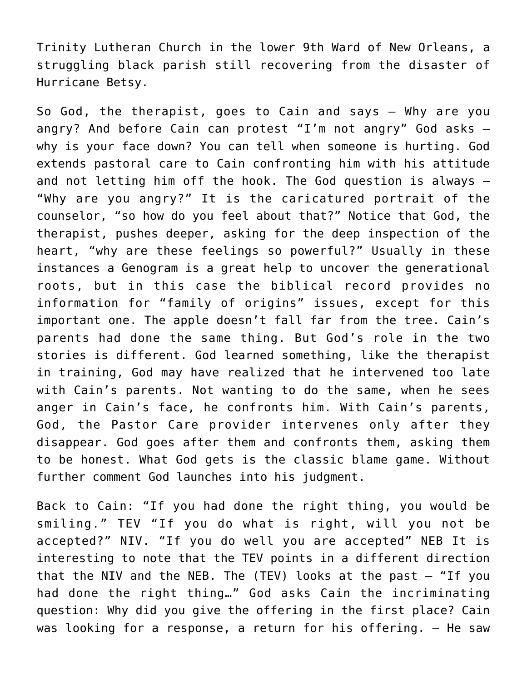Trinity Lutheran Church in the lower 9th Ward of New Orleans, a struggling black parish still recovering from the disaster of Hurricane Betsy.

So God, the therapist, goes to Cain and says – Why are you angry? And before Cain can protest "I'm not angry" God asks  $$ why is your face down? You can tell when someone is hurting. God extends pastoral care to Cain confronting him with his attitude and not letting him off the hook. The God question is always – "Why are you angry?" It is the caricatured portrait of the counselor, "so how do you feel about that?" Notice that God, the therapist, pushes deeper, asking for the deep inspection of the heart, "why are these feelings so powerful?" Usually in these instances a Genogram is a great help to uncover the generational roots, but in this case the biblical record provides no information for "family of origins" issues, except for this important one. The apple doesn't fall far from the tree. Cain's parents had done the same thing. But God's role in the two stories is different. God learned something, like the therapist in training, God may have realized that he intervened too late with Cain's parents. Not wanting to do the same, when he sees anger in Cain's face, he confronts him. With Cain's parents, God, the Pastor Care provider intervenes only after they disappear. God goes after them and confronts them, asking them to be honest. What God gets is the classic blame game. Without further comment God launches into his judgment.

Back to Cain: "If you had done the right thing, you would be smiling." TEV "If you do what is right, will you not be accepted?" NIV. "If you do well you are accepted" NEB It is interesting to note that the TEV points in a different direction that the NIV and the NEB. The  $(TEV)$  looks at the past  $-$  "If you had done the right thing…" God asks Cain the incriminating question: Why did you give the offering in the first place? Cain was looking for a response, a return for his offering. – He saw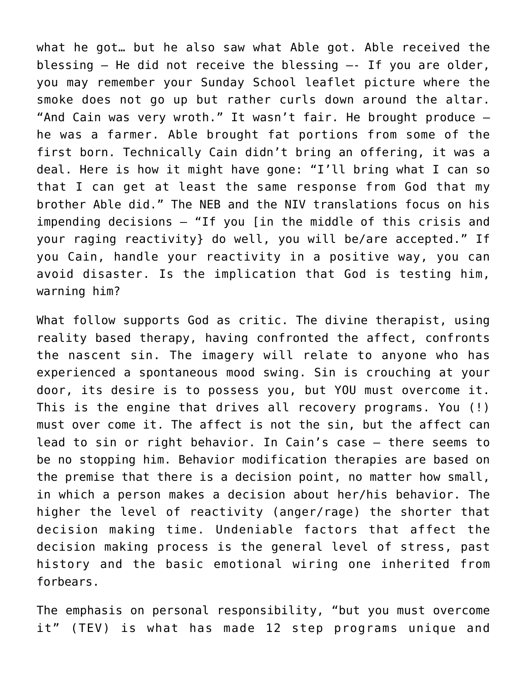what he got… but he also saw what Able got. Able received the blessing – He did not receive the blessing —- If you are older, you may remember your Sunday School leaflet picture where the smoke does not go up but rather curls down around the altar. "And Cain was very wroth." It wasn't fair. He brought produce – he was a farmer. Able brought fat portions from some of the first born. Technically Cain didn't bring an offering, it was a deal. Here is how it might have gone: "I'll bring what I can so that I can get at least the same response from God that my brother Able did." The NEB and the NIV translations focus on his impending decisions – "If you [in the middle of this crisis and your raging reactivity} do well, you will be/are accepted." If you Cain, handle your reactivity in a positive way, you can avoid disaster. Is the implication that God is testing him, warning him?

What follow supports God as critic. The divine therapist, using reality based therapy, having confronted the affect, confronts the nascent sin. The imagery will relate to anyone who has experienced a spontaneous mood swing. Sin is crouching at your door, its desire is to possess you, but YOU must overcome it. This is the engine that drives all recovery programs. You (!) must over come it. The affect is not the sin, but the affect can lead to sin or right behavior. In Cain's case – there seems to be no stopping him. Behavior modification therapies are based on the premise that there is a decision point, no matter how small, in which a person makes a decision about her/his behavior. The higher the level of reactivity (anger/rage) the shorter that decision making time. Undeniable factors that affect the decision making process is the general level of stress, past history and the basic emotional wiring one inherited from forbears.

The emphasis on personal responsibility, "but you must overcome it" (TEV) is what has made 12 step programs unique and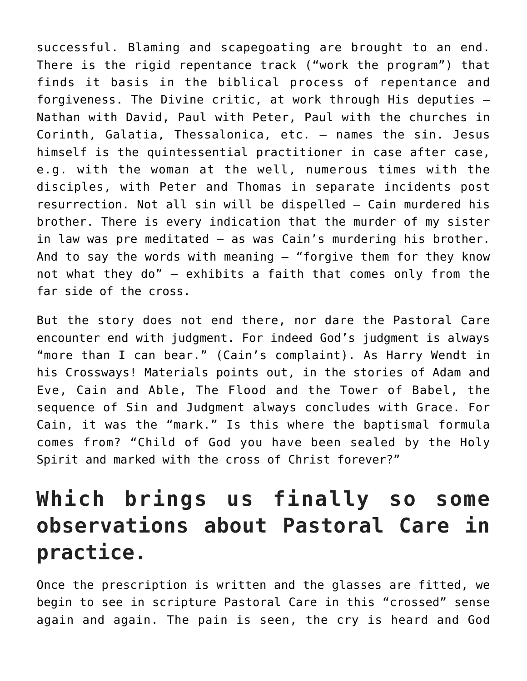successful. Blaming and scapegoating are brought to an end. There is the rigid repentance track ("work the program") that finds it basis in the biblical process of repentance and forgiveness. The Divine critic, at work through His deputies – Nathan with David, Paul with Peter, Paul with the churches in Corinth, Galatia, Thessalonica, etc. – names the sin. Jesus himself is the quintessential practitioner in case after case, e.g. with the woman at the well, numerous times with the disciples, with Peter and Thomas in separate incidents post resurrection. Not all sin will be dispelled – Cain murdered his brother. There is every indication that the murder of my sister in law was pre meditated – as was Cain's murdering his brother. And to say the words with meaning  $-$  "forgive them for they know not what they do" – exhibits a faith that comes only from the far side of the cross.

But the story does not end there, nor dare the Pastoral Care encounter end with judgment. For indeed God's judgment is always "more than I can bear." (Cain's complaint). As Harry Wendt in his Crossways! Materials points out, in the stories of Adam and Eve, Cain and Able, The Flood and the Tower of Babel, the sequence of Sin and Judgment always concludes with Grace. For Cain, it was the "mark." Is this where the baptismal formula comes from? "Child of God you have been sealed by the Holy Spirit and marked with the cross of Christ forever?"

## **Which brings us finally so some observations about Pastoral Care in practice.**

Once the prescription is written and the glasses are fitted, we begin to see in scripture Pastoral Care in this "crossed" sense again and again. The pain is seen, the cry is heard and God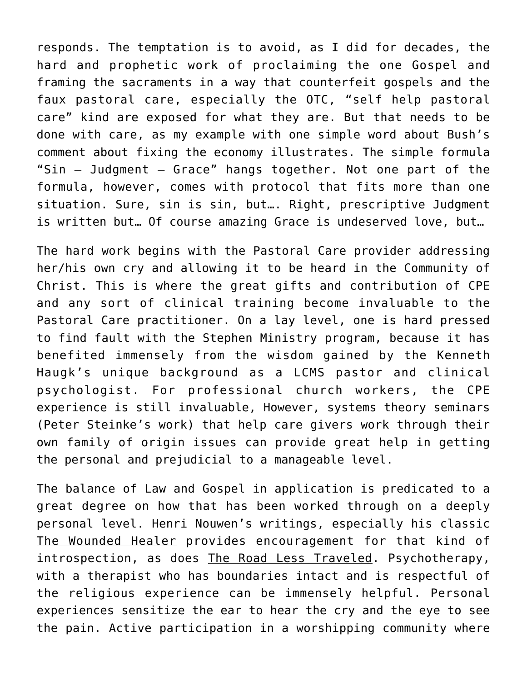responds. The temptation is to avoid, as I did for decades, the hard and prophetic work of proclaiming the one Gospel and framing the sacraments in a way that counterfeit gospels and the faux pastoral care, especially the OTC, "self help pastoral care" kind are exposed for what they are. But that needs to be done with care, as my example with one simple word about Bush's comment about fixing the economy illustrates. The simple formula "Sin – Judgment – Grace" hangs together. Not one part of the formula, however, comes with protocol that fits more than one situation. Sure, sin is sin, but…. Right, prescriptive Judgment is written but… Of course amazing Grace is undeserved love, but…

The hard work begins with the Pastoral Care provider addressing her/his own cry and allowing it to be heard in the Community of Christ. This is where the great gifts and contribution of CPE and any sort of clinical training become invaluable to the Pastoral Care practitioner. On a lay level, one is hard pressed to find fault with the Stephen Ministry program, because it has benefited immensely from the wisdom gained by the Kenneth Haugk's unique background as a LCMS pastor and clinical psychologist. For professional church workers, the CPE experience is still invaluable, However, systems theory seminars (Peter Steinke's work) that help care givers work through their own family of origin issues can provide great help in getting the personal and prejudicial to a manageable level.

The balance of Law and Gospel in application is predicated to a great degree on how that has been worked through on a deeply personal level. Henri Nouwen's writings, especially his classic The Wounded Healer provides encouragement for that kind of introspection, as does The Road Less Traveled. Psychotherapy, with a therapist who has boundaries intact and is respectful of the religious experience can be immensely helpful. Personal experiences sensitize the ear to hear the cry and the eye to see the pain. Active participation in a worshipping community where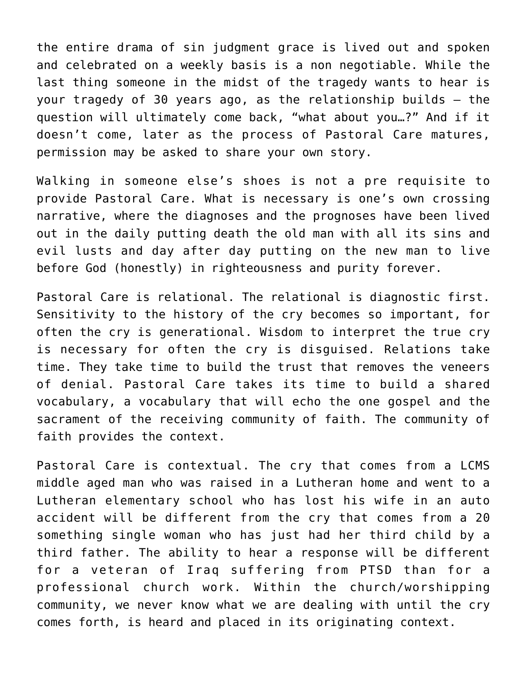the entire drama of sin judgment grace is lived out and spoken and celebrated on a weekly basis is a non negotiable. While the last thing someone in the midst of the tragedy wants to hear is your tragedy of 30 years ago, as the relationship builds – the question will ultimately come back, "what about you…?" And if it doesn't come, later as the process of Pastoral Care matures, permission may be asked to share your own story.

Walking in someone else's shoes is not a pre requisite to provide Pastoral Care. What is necessary is one's own crossing narrative, where the diagnoses and the prognoses have been lived out in the daily putting death the old man with all its sins and evil lusts and day after day putting on the new man to live before God (honestly) in righteousness and purity forever.

Pastoral Care is relational. The relational is diagnostic first. Sensitivity to the history of the cry becomes so important, for often the cry is generational. Wisdom to interpret the true cry is necessary for often the cry is disguised. Relations take time. They take time to build the trust that removes the veneers of denial. Pastoral Care takes its time to build a shared vocabulary, a vocabulary that will echo the one gospel and the sacrament of the receiving community of faith. The community of faith provides the context.

Pastoral Care is contextual. The cry that comes from a LCMS middle aged man who was raised in a Lutheran home and went to a Lutheran elementary school who has lost his wife in an auto accident will be different from the cry that comes from a 20 something single woman who has just had her third child by a third father. The ability to hear a response will be different for a veteran of Iraq suffering from PTSD than for a professional church work. Within the church/worshipping community, we never know what we are dealing with until the cry comes forth, is heard and placed in its originating context.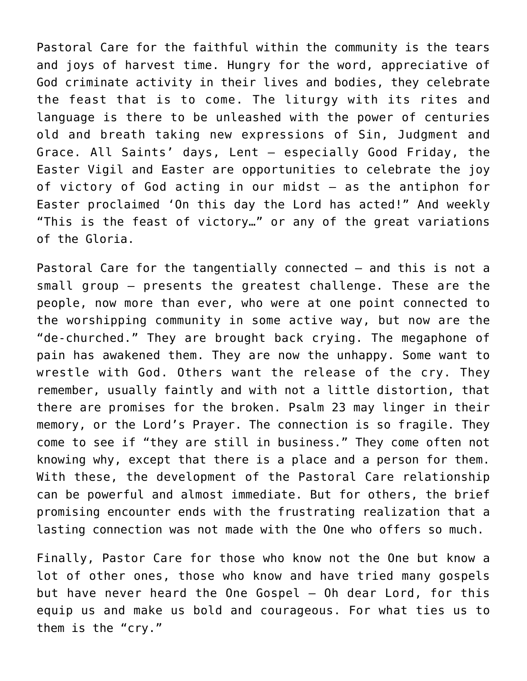Pastoral Care for the faithful within the community is the tears and joys of harvest time. Hungry for the word, appreciative of God criminate activity in their lives and bodies, they celebrate the feast that is to come. The liturgy with its rites and language is there to be unleashed with the power of centuries old and breath taking new expressions of Sin, Judgment and Grace. All Saints' days, Lent – especially Good Friday, the Easter Vigil and Easter are opportunities to celebrate the joy of victory of God acting in our midst – as the antiphon for Easter proclaimed 'On this day the Lord has acted!" And weekly "This is the feast of victory…" or any of the great variations of the Gloria.

Pastoral Care for the tangentially connected – and this is not a small group – presents the greatest challenge. These are the people, now more than ever, who were at one point connected to the worshipping community in some active way, but now are the "de-churched." They are brought back crying. The megaphone of pain has awakened them. They are now the unhappy. Some want to wrestle with God. Others want the release of the cry. They remember, usually faintly and with not a little distortion, that there are promises for the broken. Psalm 23 may linger in their memory, or the Lord's Prayer. The connection is so fragile. They come to see if "they are still in business." They come often not knowing why, except that there is a place and a person for them. With these, the development of the Pastoral Care relationship can be powerful and almost immediate. But for others, the brief promising encounter ends with the frustrating realization that a lasting connection was not made with the One who offers so much.

Finally, Pastor Care for those who know not the One but know a lot of other ones, those who know and have tried many gospels but have never heard the One Gospel – Oh dear Lord, for this equip us and make us bold and courageous. For what ties us to them is the "cry."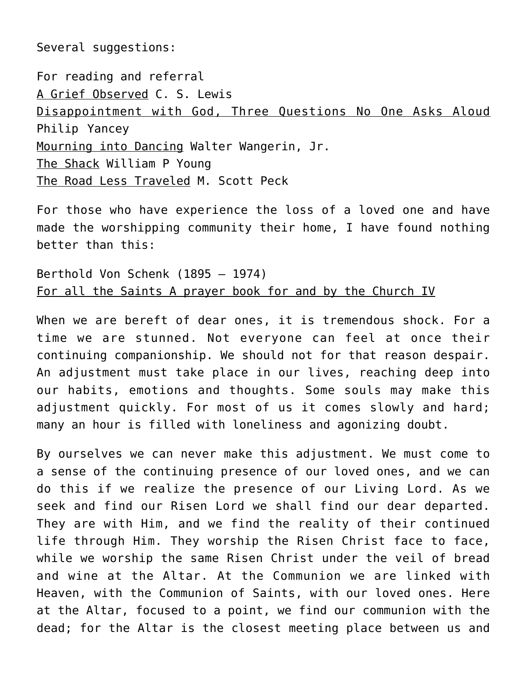Several suggestions:

For reading and referral A Grief Observed C. S. Lewis Disappointment with God, Three Questions No One Asks Aloud Philip Yancey Mourning into Dancing Walter Wangerin, Jr. The Shack William P Young The Road Less Traveled M. Scott Peck

For those who have experience the loss of a loved one and have made the worshipping community their home, I have found nothing better than this:

Berthold Von Schenk (1895 – 1974) For all the Saints A prayer book for and by the Church IV

When we are bereft of dear ones, it is tremendous shock. For a time we are stunned. Not everyone can feel at once their continuing companionship. We should not for that reason despair. An adjustment must take place in our lives, reaching deep into our habits, emotions and thoughts. Some souls may make this adjustment quickly. For most of us it comes slowly and hard; many an hour is filled with loneliness and agonizing doubt.

By ourselves we can never make this adjustment. We must come to a sense of the continuing presence of our loved ones, and we can do this if we realize the presence of our Living Lord. As we seek and find our Risen Lord we shall find our dear departed. They are with Him, and we find the reality of their continued life through Him. They worship the Risen Christ face to face, while we worship the same Risen Christ under the veil of bread and wine at the Altar. At the Communion we are linked with Heaven, with the Communion of Saints, with our loved ones. Here at the Altar, focused to a point, we find our communion with the dead; for the Altar is the closest meeting place between us and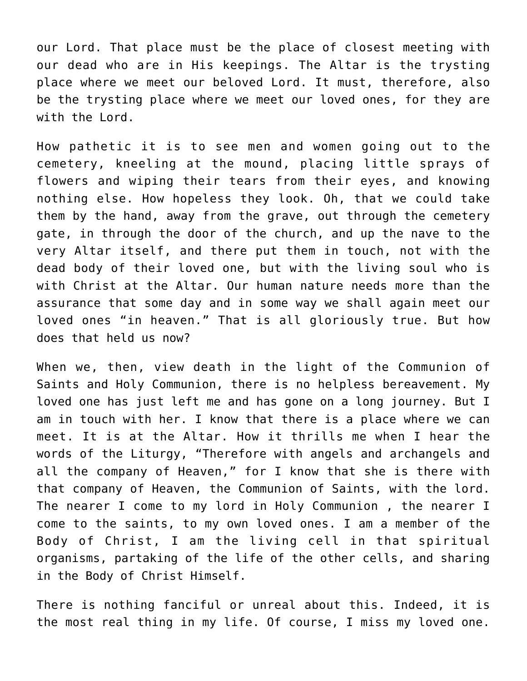our Lord. That place must be the place of closest meeting with our dead who are in His keepings. The Altar is the trysting place where we meet our beloved Lord. It must, therefore, also be the trysting place where we meet our loved ones, for they are with the Lord.

How pathetic it is to see men and women going out to the cemetery, kneeling at the mound, placing little sprays of flowers and wiping their tears from their eyes, and knowing nothing else. How hopeless they look. Oh, that we could take them by the hand, away from the grave, out through the cemetery gate, in through the door of the church, and up the nave to the very Altar itself, and there put them in touch, not with the dead body of their loved one, but with the living soul who is with Christ at the Altar. Our human nature needs more than the assurance that some day and in some way we shall again meet our loved ones "in heaven." That is all gloriously true. But how does that held us now?

When we, then, view death in the light of the Communion of Saints and Holy Communion, there is no helpless bereavement. My loved one has just left me and has gone on a long journey. But I am in touch with her. I know that there is a place where we can meet. It is at the Altar. How it thrills me when I hear the words of the Liturgy, "Therefore with angels and archangels and all the company of Heaven," for I know that she is there with that company of Heaven, the Communion of Saints, with the lord. The nearer I come to my lord in Holy Communion , the nearer I come to the saints, to my own loved ones. I am a member of the Body of Christ, I am the living cell in that spiritual organisms, partaking of the life of the other cells, and sharing in the Body of Christ Himself.

There is nothing fanciful or unreal about this. Indeed, it is the most real thing in my life. Of course, I miss my loved one.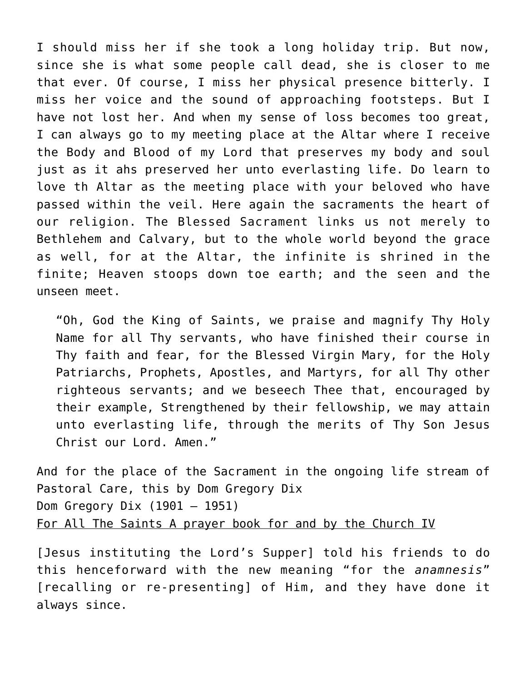I should miss her if she took a long holiday trip. But now, since she is what some people call dead, she is closer to me that ever. Of course, I miss her physical presence bitterly. I miss her voice and the sound of approaching footsteps. But I have not lost her. And when my sense of loss becomes too great, I can always go to my meeting place at the Altar where I receive the Body and Blood of my Lord that preserves my body and soul just as it ahs preserved her unto everlasting life. Do learn to love th Altar as the meeting place with your beloved who have passed within the veil. Here again the sacraments the heart of our religion. The Blessed Sacrament links us not merely to Bethlehem and Calvary, but to the whole world beyond the grace as well, for at the Altar, the infinite is shrined in the finite; Heaven stoops down toe earth; and the seen and the unseen meet.

"Oh, God the King of Saints, we praise and magnify Thy Holy Name for all Thy servants, who have finished their course in Thy faith and fear, for the Blessed Virgin Mary, for the Holy Patriarchs, Prophets, Apostles, and Martyrs, for all Thy other righteous servants; and we beseech Thee that, encouraged by their example, Strengthened by their fellowship, we may attain unto everlasting life, through the merits of Thy Son Jesus Christ our Lord. Amen."

And for the place of the Sacrament in the ongoing life stream of Pastoral Care, this by Dom Gregory Dix Dom Gregory Dix (1901 – 1951) For All The Saints A prayer book for and by the Church IV

[Jesus instituting the Lord's Supper] told his friends to do this henceforward with the new meaning "for the *anamnesis*" [recalling or re-presenting] of Him, and they have done it always since.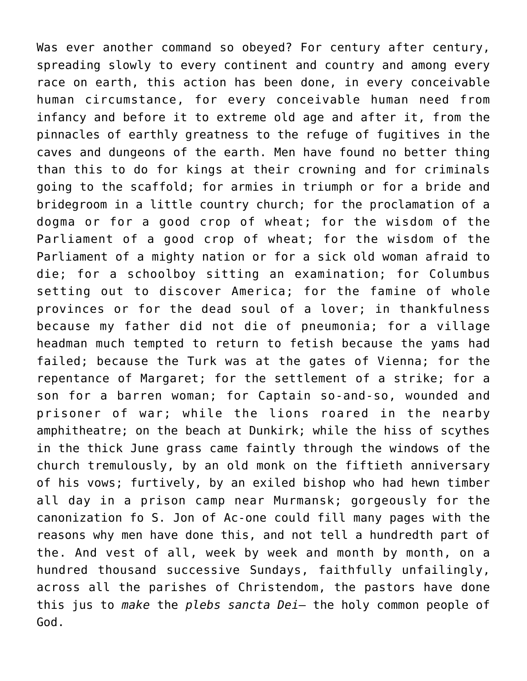Was ever another command so obeyed? For century after century, spreading slowly to every continent and country and among every race on earth, this action has been done, in every conceivable human circumstance, for every conceivable human need from infancy and before it to extreme old age and after it, from the pinnacles of earthly greatness to the refuge of fugitives in the caves and dungeons of the earth. Men have found no better thing than this to do for kings at their crowning and for criminals going to the scaffold; for armies in triumph or for a bride and bridegroom in a little country church; for the proclamation of a dogma or for a good crop of wheat; for the wisdom of the Parliament of a good crop of wheat; for the wisdom of the Parliament of a mighty nation or for a sick old woman afraid to die; for a schoolboy sitting an examination; for Columbus setting out to discover America; for the famine of whole provinces or for the dead soul of a lover; in thankfulness because my father did not die of pneumonia; for a village headman much tempted to return to fetish because the yams had failed; because the Turk was at the gates of Vienna; for the repentance of Margaret; for the settlement of a strike; for a son for a barren woman; for Captain so-and-so, wounded and prisoner of war; while the lions roared in the nearby amphitheatre; on the beach at Dunkirk; while the hiss of scythes in the thick June grass came faintly through the windows of the church tremulously, by an old monk on the fiftieth anniversary of his vows; furtively, by an exiled bishop who had hewn timber all day in a prison camp near Murmansk; gorgeously for the canonization fo S. Jon of Ac-one could fill many pages with the reasons why men have done this, and not tell a hundredth part of the. And vest of all, week by week and month by month, on a hundred thousand successive Sundays, faithfully unfailingly, across all the parishes of Christendom, the pastors have done this jus to *make* the *plebs sancta Dei*– the holy common people of God.